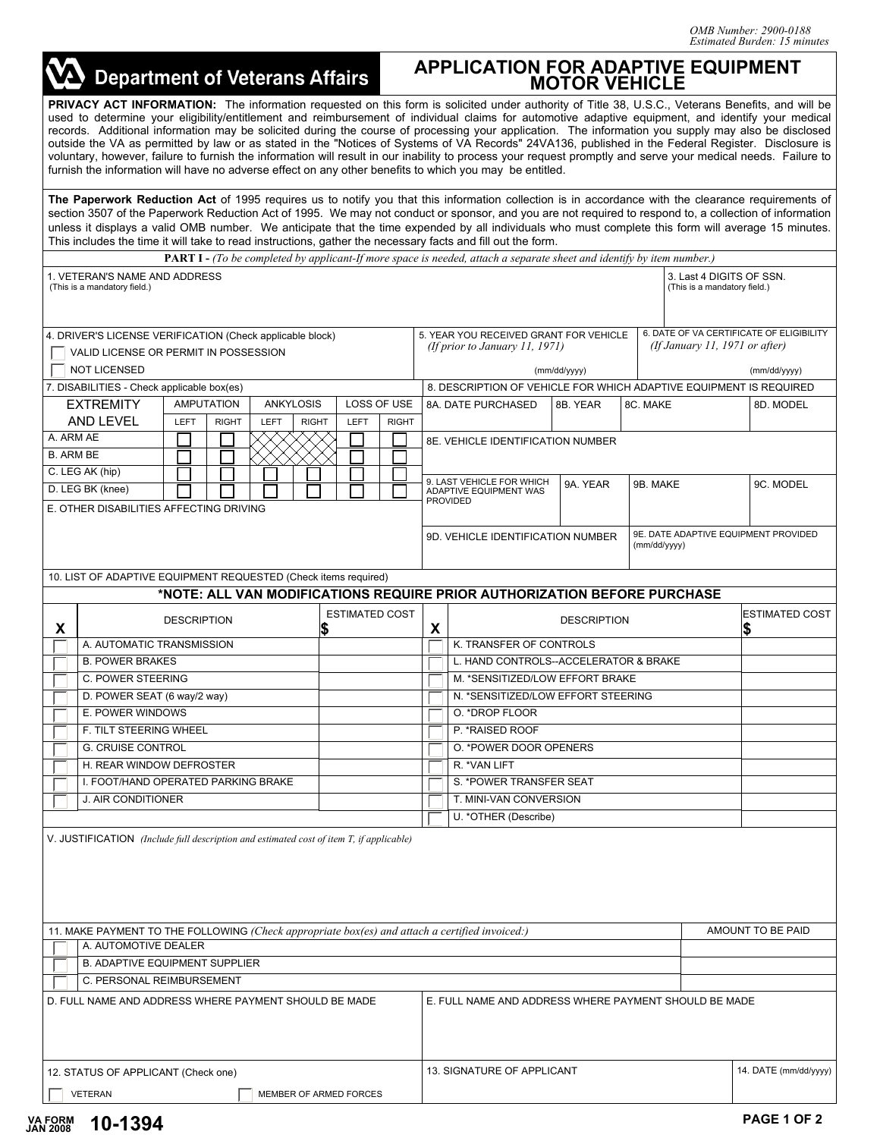| <b>Department of Veterans Affairs</b>                                                                                                                                                                                                                                                                                                                                                                                                                                                                                                                                                                                                                                                                                                                                                                                                                                                            |                             |                       |              | <b>APPLICATION FOR ADAPTIVE EQUIPMENT</b><br><b>MOTOR VEHICLE</b>                                    |                                                                                           |          |          |                              |                   |  |  |
|--------------------------------------------------------------------------------------------------------------------------------------------------------------------------------------------------------------------------------------------------------------------------------------------------------------------------------------------------------------------------------------------------------------------------------------------------------------------------------------------------------------------------------------------------------------------------------------------------------------------------------------------------------------------------------------------------------------------------------------------------------------------------------------------------------------------------------------------------------------------------------------------------|-----------------------------|-----------------------|--------------|------------------------------------------------------------------------------------------------------|-------------------------------------------------------------------------------------------|----------|----------|------------------------------|-------------------|--|--|
| PRIVACY ACT INFORMATION: The information requested on this form is solicited under authority of Title 38, U.S.C., Veterans Benefits, and will be<br>used to determine your eligibility/entitlement and reimbursement of individual claims for automotive adaptive equipment, and identify your medical<br>records. Additional information may be solicited during the course of processing your application. The information you supply may also be disclosed<br>outside the VA as permitted by law or as stated in the "Notices of Systems of VA Records" 24VA136, published in the Federal Register. Disclosure is<br>voluntary, however, failure to furnish the information will result in our inability to process your request promptly and serve your medical needs. Failure to<br>furnish the information will have no adverse effect on any other benefits to which you may be entitled. |                             |                       |              |                                                                                                      |                                                                                           |          |          |                              |                   |  |  |
| The Paperwork Reduction Act of 1995 requires us to notify you that this information collection is in accordance with the clearance requirements of<br>section 3507 of the Paperwork Reduction Act of 1995. We may not conduct or sponsor, and you are not required to respond to, a collection of information<br>unless it displays a valid OMB number. We anticipate that the time expended by all individuals who must complete this form will average 15 minutes.<br>This includes the time it will take to read instructions, gather the necessary facts and fill out the form.<br><b>PART I</b> - (To be completed by applicant-If more space is needed, attach a separate sheet and identify by item number.)                                                                                                                                                                              |                             |                       |              |                                                                                                      |                                                                                           |          |          |                              |                   |  |  |
| 1. VETERAN'S NAME AND ADDRESS<br>(This is a mandatory field.)                                                                                                                                                                                                                                                                                                                                                                                                                                                                                                                                                                                                                                                                                                                                                                                                                                    |                             |                       |              |                                                                                                      | 3. Last 4 DIGITS OF SSN.<br>(This is a mandatory field.)                                  |          |          |                              |                   |  |  |
| 4. DRIVER'S LICENSE VERIFICATION (Check applicable block)                                                                                                                                                                                                                                                                                                                                                                                                                                                                                                                                                                                                                                                                                                                                                                                                                                        |                             |                       |              | 6. DATE OF VA CERTIFICATE OF ELIGIBILITY<br>5. YEAR YOU RECEIVED GRANT FOR VEHICLE                   |                                                                                           |          |          |                              |                   |  |  |
| VALID LICENSE OR PERMIT IN POSSESSION                                                                                                                                                                                                                                                                                                                                                                                                                                                                                                                                                                                                                                                                                                                                                                                                                                                            |                             |                       |              | (If January 11, 1971 or after)<br>(If prior to January 11, 1971)                                     |                                                                                           |          |          |                              |                   |  |  |
| <b>NOT LICENSED</b>                                                                                                                                                                                                                                                                                                                                                                                                                                                                                                                                                                                                                                                                                                                                                                                                                                                                              |                             |                       |              | (mm/dd/yyyy)                                                                                         |                                                                                           |          |          |                              | (mm/dd/yyyy)      |  |  |
| 7. DISABILITIES - Check applicable box(es)<br><b>AMPUTATION</b><br><b>EXTREMITY</b>                                                                                                                                                                                                                                                                                                                                                                                                                                                                                                                                                                                                                                                                                                                                                                                                              | <b>ANKYLOSIS</b>            |                       | LOSS OF USE  | 8. DESCRIPTION OF VEHICLE FOR WHICH ADAPTIVE EQUIPMENT IS REQUIRED<br>8C. MAKE<br>8A. DATE PURCHASED |                                                                                           |          |          |                              | 8D. MODEL         |  |  |
| AND LEVEL<br><b>LEFT</b><br><b>RIGHT</b>                                                                                                                                                                                                                                                                                                                                                                                                                                                                                                                                                                                                                                                                                                                                                                                                                                                         | <b>LEFT</b><br><b>RIGHT</b> | LEFT                  | <b>RIGHT</b> |                                                                                                      |                                                                                           | 8B. YEAR |          |                              |                   |  |  |
| A. ARM AE<br>8E. VEHICLE IDENTIFICATION NUMBER<br><b>B. ARM BE</b>                                                                                                                                                                                                                                                                                                                                                                                                                                                                                                                                                                                                                                                                                                                                                                                                                               |                             |                       |              |                                                                                                      |                                                                                           |          |          |                              |                   |  |  |
| C. LEG AK (hip)<br>D. LEG BK (knee)<br>E. OTHER DISABILITIES AFFECTING DRIVING                                                                                                                                                                                                                                                                                                                                                                                                                                                                                                                                                                                                                                                                                                                                                                                                                   |                             |                       |              |                                                                                                      | 9. LAST VEHICLE FOR WHICH<br>ADAPTIVE EQUIPMENT WAS<br><b>PROVIDED</b>                    | 9A. YEAR | 9B. MAKE |                              | 9C. MODEL         |  |  |
|                                                                                                                                                                                                                                                                                                                                                                                                                                                                                                                                                                                                                                                                                                                                                                                                                                                                                                  |                             |                       |              |                                                                                                      | 9E. DATE ADAPTIVE EQUIPMENT PROVIDED<br>9D. VEHICLE IDENTIFICATION NUMBER<br>(mm/dd/yyyy) |          |          |                              |                   |  |  |
| 10. LIST OF ADAPTIVE EQUIPMENT REQUESTED (Check items required)                                                                                                                                                                                                                                                                                                                                                                                                                                                                                                                                                                                                                                                                                                                                                                                                                                  |                             |                       |              |                                                                                                      |                                                                                           |          |          |                              |                   |  |  |
|                                                                                                                                                                                                                                                                                                                                                                                                                                                                                                                                                                                                                                                                                                                                                                                                                                                                                                  |                             |                       |              |                                                                                                      | *NOTE: ALL VAN MODIFICATIONS REQUIRE PRIOR AUTHORIZATION BEFORE PURCHASE                  |          |          |                              |                   |  |  |
| <b>DESCRIPTION</b><br>X                                                                                                                                                                                                                                                                                                                                                                                                                                                                                                                                                                                                                                                                                                                                                                                                                                                                          |                             | <b>ESTIMATED COST</b> |              | X                                                                                                    | <b>DESCRIPTION</b>                                                                        |          |          | <b>ESTIMATED COST</b><br>IS. |                   |  |  |
| A. AUTOMATIC TRANSMISSION                                                                                                                                                                                                                                                                                                                                                                                                                                                                                                                                                                                                                                                                                                                                                                                                                                                                        |                             |                       |              | K. TRANSFER OF CONTROLS                                                                              |                                                                                           |          |          |                              |                   |  |  |
| <b>B. POWER BRAKES</b><br>C. POWER STEERING                                                                                                                                                                                                                                                                                                                                                                                                                                                                                                                                                                                                                                                                                                                                                                                                                                                      |                             |                       |              |                                                                                                      | L. HAND CONTROLS--ACCELERATOR & BRAKE<br>M. *SENSITIZED/LOW EFFORT BRAKE                  |          |          |                              |                   |  |  |
| D. POWER SEAT (6 way/2 way)                                                                                                                                                                                                                                                                                                                                                                                                                                                                                                                                                                                                                                                                                                                                                                                                                                                                      |                             |                       |              |                                                                                                      | N. * SENSITIZED/LOW EFFORT STEERING                                                       |          |          |                              |                   |  |  |
| E. POWER WINDOWS                                                                                                                                                                                                                                                                                                                                                                                                                                                                                                                                                                                                                                                                                                                                                                                                                                                                                 |                             |                       |              |                                                                                                      | O. *DROP FLOOR                                                                            |          |          |                              |                   |  |  |
| F. TILT STEERING WHEEL                                                                                                                                                                                                                                                                                                                                                                                                                                                                                                                                                                                                                                                                                                                                                                                                                                                                           |                             |                       |              |                                                                                                      | P. * RAISED ROOF                                                                          |          |          |                              |                   |  |  |
| <b>G. CRUISE CONTROL</b>                                                                                                                                                                                                                                                                                                                                                                                                                                                                                                                                                                                                                                                                                                                                                                                                                                                                         |                             |                       |              |                                                                                                      | O. *POWER DOOR OPENERS                                                                    |          |          |                              |                   |  |  |
| H. REAR WINDOW DEFROSTER                                                                                                                                                                                                                                                                                                                                                                                                                                                                                                                                                                                                                                                                                                                                                                                                                                                                         |                             |                       |              |                                                                                                      | R. * VAN LIFT                                                                             |          |          |                              |                   |  |  |
| I. FOOT/HAND OPERATED PARKING BRAKE                                                                                                                                                                                                                                                                                                                                                                                                                                                                                                                                                                                                                                                                                                                                                                                                                                                              |                             |                       |              |                                                                                                      | S. *POWER TRANSFER SEAT<br>T. MINI-VAN CONVERSION                                         |          |          |                              |                   |  |  |
| <b>J. AIR CONDITIONER</b>                                                                                                                                                                                                                                                                                                                                                                                                                                                                                                                                                                                                                                                                                                                                                                                                                                                                        |                             |                       |              |                                                                                                      | U. *OTHER (Describe)                                                                      |          |          |                              |                   |  |  |
| V. JUSTIFICATION (Include full description and estimated cost of item T, if applicable)                                                                                                                                                                                                                                                                                                                                                                                                                                                                                                                                                                                                                                                                                                                                                                                                          |                             |                       |              |                                                                                                      |                                                                                           |          |          |                              |                   |  |  |
| 11. MAKE PAYMENT TO THE FOLLOWING (Check appropriate box(es) and attach a certified invoiced:)                                                                                                                                                                                                                                                                                                                                                                                                                                                                                                                                                                                                                                                                                                                                                                                                   |                             |                       |              |                                                                                                      |                                                                                           |          |          |                              | AMOUNT TO BE PAID |  |  |
| A. AUTOMOTIVE DEALER                                                                                                                                                                                                                                                                                                                                                                                                                                                                                                                                                                                                                                                                                                                                                                                                                                                                             |                             |                       |              |                                                                                                      |                                                                                           |          |          |                              |                   |  |  |
| <b>B. ADAPTIVE EQUIPMENT SUPPLIER</b>                                                                                                                                                                                                                                                                                                                                                                                                                                                                                                                                                                                                                                                                                                                                                                                                                                                            |                             |                       |              |                                                                                                      |                                                                                           |          |          |                              |                   |  |  |
| C. PERSONAL REIMBURSEMENT<br>D. FULL NAME AND ADDRESS WHERE PAYMENT SHOULD BE MADE                                                                                                                                                                                                                                                                                                                                                                                                                                                                                                                                                                                                                                                                                                                                                                                                               |                             |                       |              |                                                                                                      | E. FULL NAME AND ADDRESS WHERE PAYMENT SHOULD BE MADE                                     |          |          |                              |                   |  |  |
|                                                                                                                                                                                                                                                                                                                                                                                                                                                                                                                                                                                                                                                                                                                                                                                                                                                                                                  |                             |                       |              |                                                                                                      |                                                                                           |          |          |                              |                   |  |  |
| 12. STATUS OF APPLICANT (Check one)                                                                                                                                                                                                                                                                                                                                                                                                                                                                                                                                                                                                                                                                                                                                                                                                                                                              |                             |                       |              | 13. SIGNATURE OF APPLICANT                                                                           |                                                                                           |          |          | 14. DATE (mm/dd/yyyy)        |                   |  |  |
| <b>VETERAN</b><br>MEMBER OF ARMED FORCES                                                                                                                                                                                                                                                                                                                                                                                                                                                                                                                                                                                                                                                                                                                                                                                                                                                         |                             |                       |              |                                                                                                      |                                                                                           |          |          |                              |                   |  |  |